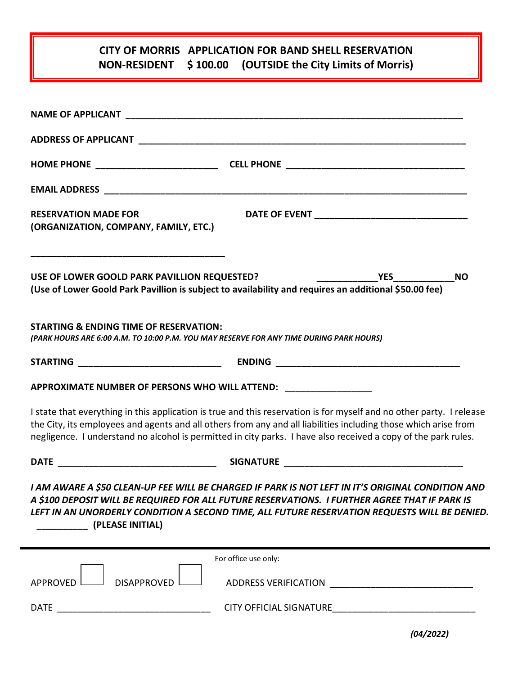## **CITY OF MORRIS APPLICATION FOR BAND SHELL RESERVATION NON-RESIDENT \$ 100.00 (OUTSIDE the City Limits of Morris)**

| <b>RESERVATION MADE FOR</b><br>(ORGANIZATION, COMPANY, FAMILY, ETC.)                                                                                                                                                                                                                                                                                      |  |
|-----------------------------------------------------------------------------------------------------------------------------------------------------------------------------------------------------------------------------------------------------------------------------------------------------------------------------------------------------------|--|
| USE OF LOWER GOOLD PARK PAVILLION REQUESTED?<br><b>NO</b><br>(Use of Lower Goold Park Pavillion is subject to availability and requires an additional \$50.00 fee)                                                                                                                                                                                        |  |
| <b>STARTING &amp; ENDING TIME OF RESERVATION:</b><br>(PARK HOURS ARE 6:00 A.M. TO 10:00 P.M. YOU MAY RESERVE FOR ANY TIME DURING PARK HOURS)                                                                                                                                                                                                              |  |
|                                                                                                                                                                                                                                                                                                                                                           |  |
| APPROXIMATE NUMBER OF PERSONS WHO WILL ATTEND: _________________________________                                                                                                                                                                                                                                                                          |  |
| I state that everything in this application is true and this reservation is for myself and no other party. I release<br>the City, its employees and agents and all others from any and all liabilities including those which arise from<br>negligence. I understand no alcohol is permitted in city parks. I have also received a copy of the park rules. |  |
|                                                                                                                                                                                                                                                                                                                                                           |  |
| I AM AWARE A \$50 CLEAN-UP FEE WILL BE CHARGED IF PARK IS NOT LEFT IN IT'S ORIGINAL CONDITION AND<br>A \$100 DEPOSIT WILL BE REQUIRED FOR ALL FUTURE RESERVATIONS. I FURTHER AGREE THAT IF PARK IS<br>LEFT IN AN UNORDERLY CONDITION A SECOND TIME, ALL FUTURE RESERVATION REQUESTS WILL BE DENIED.<br>(PLEASE INITIAL)                                   |  |
| For office use only:                                                                                                                                                                                                                                                                                                                                      |  |
| <b>DISAPPROVED</b><br>APPROVED                                                                                                                                                                                                                                                                                                                            |  |
|                                                                                                                                                                                                                                                                                                                                                           |  |

*(04/2022)*